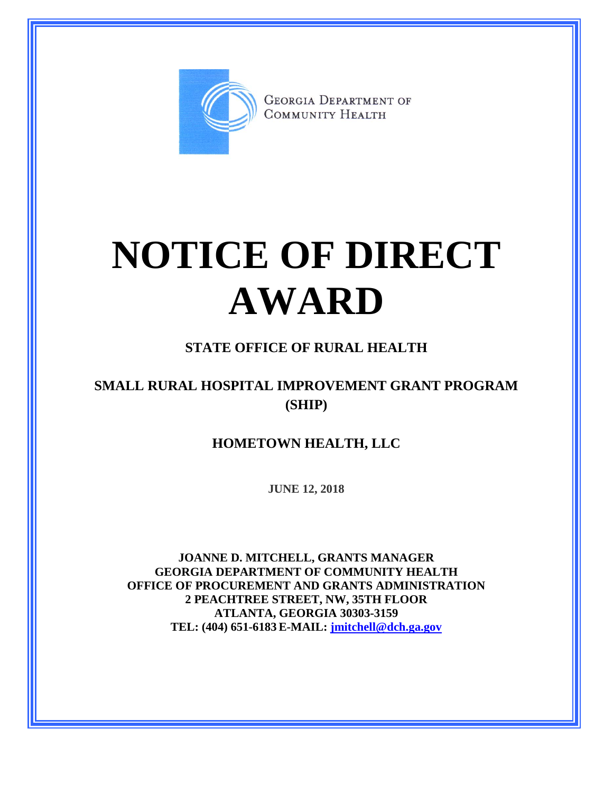

**GEORGIA DEPARTMENT OF** COMMUNITY HEALTH

# **NOTICE OF DIRECT AWARD**

#### **STATE OFFICE OF RURAL HEALTH**

### **SMALL RURAL HOSPITAL IMPROVEMENT GRANT PROGRAM (SHIP)**

#### **HOMETOWN HEALTH, LLC**

**JUNE 12, 2018**

**JOANNE D. MITCHELL, GRANTS MANAGER GEORGIA DEPARTMENT OF COMMUNITY HEALTH OFFICE OF PROCUREMENT AND GRANTS ADMINISTRATION 2 PEACHTREE STREET, NW, 35TH FLOOR ATLANTA, GEORGIA 30303-3159 TEL: (404) 651-6183 E-MAIL: [jmitchell@dch.ga.gov](mailto:awatson@dch.ga.gov)**